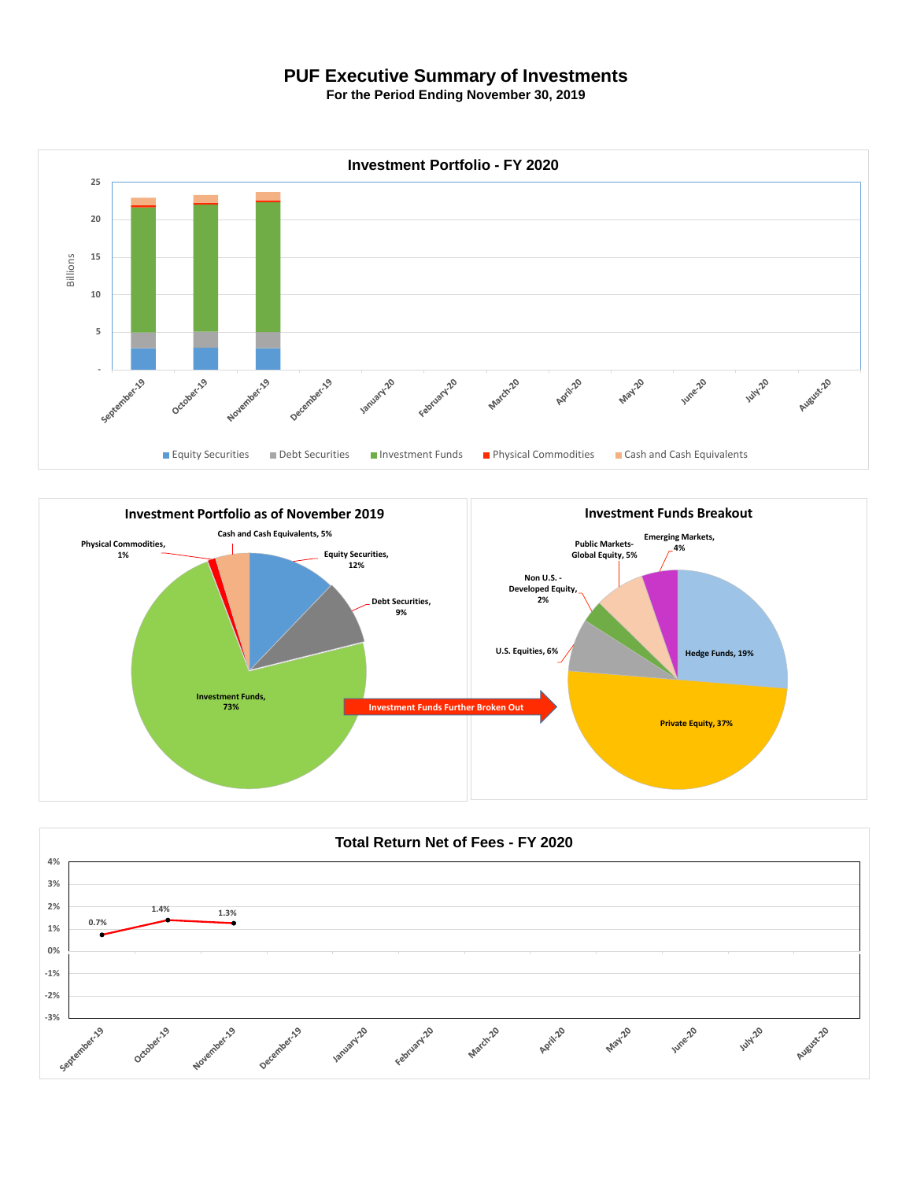## **PUF Executive Summary of Investments**

**For the Period Ending November 30, 2019**